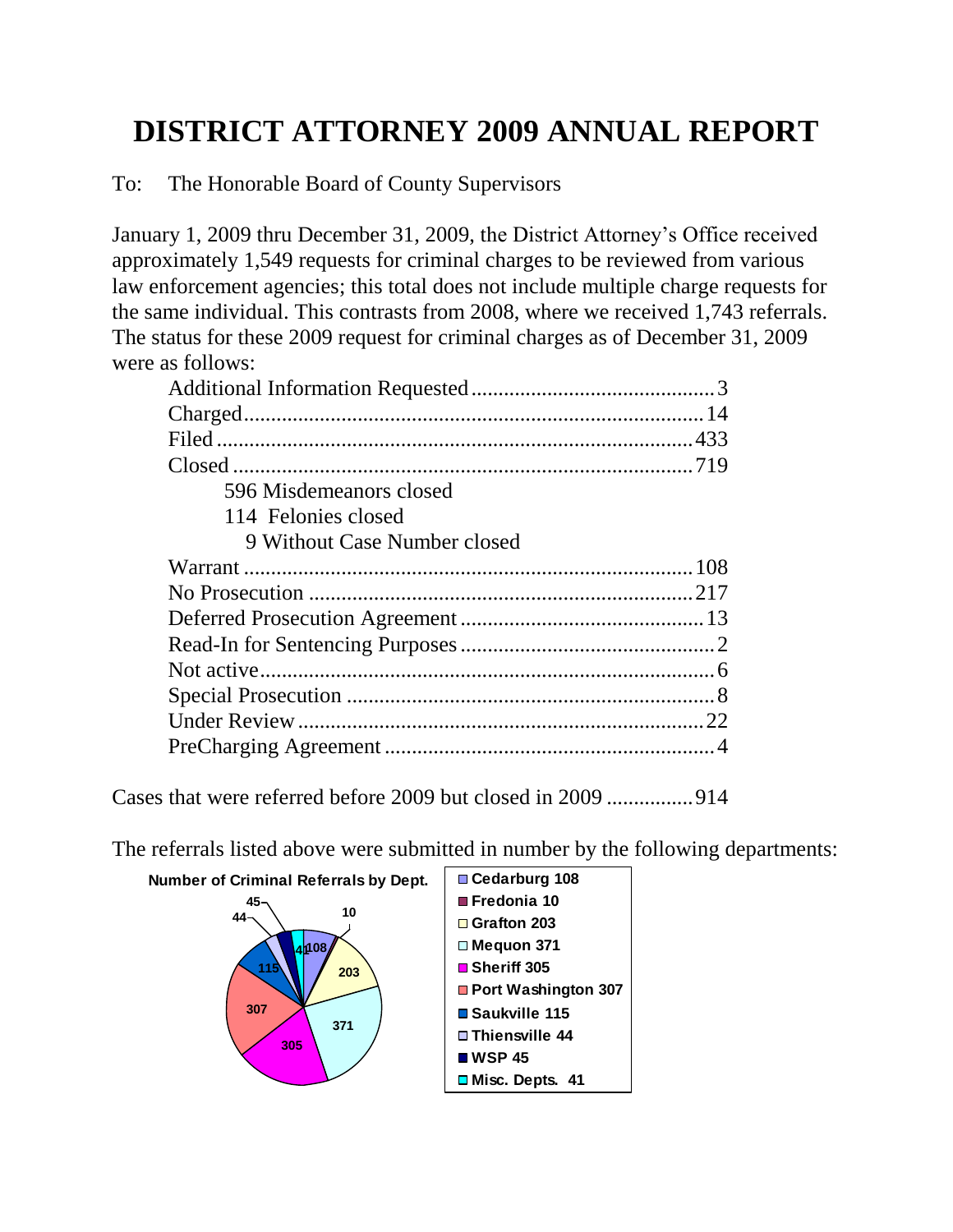## **DISTRICT ATTORNEY 2009 ANNUAL REPORT**

To: The Honorable Board of County Supervisors

January 1, 2009 thru December 31, 2009, the District Attorney's Office received approximately 1,549 requests for criminal charges to be reviewed from various law enforcement agencies; this total does not include multiple charge requests for the same individual. This contrasts from 2008, where we received 1,743 referrals. The status for these 2009 request for criminal charges as of December 31, 2009 were as follows:

| 596 Misdemeanors closed      |
|------------------------------|
| 114 Felonies closed          |
| 9 Without Case Number closed |
|                              |
|                              |
|                              |
|                              |
|                              |
|                              |
|                              |
|                              |

Cases that were referred before 2009 but closed in 2009 ................914

The referrals listed above were submitted in number by the following departments:

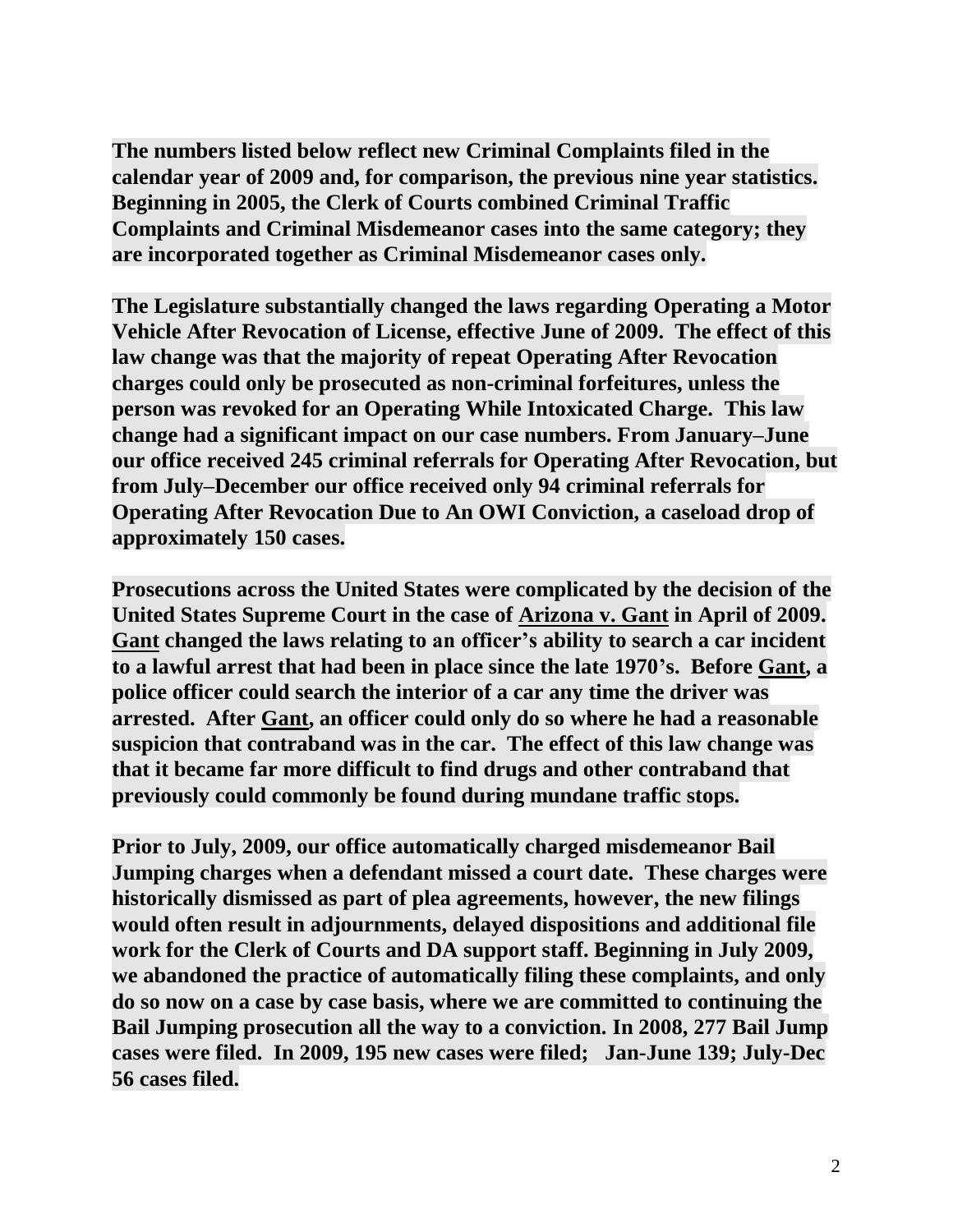**The numbers listed below reflect new Criminal Complaints filed in the calendar year of 2009 and, for comparison, the previous nine year statistics. Beginning in 2005, the Clerk of Courts combined Criminal Traffic Complaints and Criminal Misdemeanor cases into the same category; they are incorporated together as Criminal Misdemeanor cases only.** 

**The Legislature substantially changed the laws regarding Operating a Motor Vehicle After Revocation of License, effective June of 2009. The effect of this law change was that the majority of repeat Operating After Revocation charges could only be prosecuted as non-criminal forfeitures, unless the person was revoked for an Operating While Intoxicated Charge. This law change had a significant impact on our case numbers. From January–June our office received 245 criminal referrals for Operating After Revocation, but from July–December our office received only 94 criminal referrals for Operating After Revocation Due to An OWI Conviction, a caseload drop of approximately 150 cases.** 

**Prosecutions across the United States were complicated by the decision of the United States Supreme Court in the case of Arizona v. Gant in April of 2009. Gant changed the laws relating to an officer's ability to search a car incident to a lawful arrest that had been in place since the late 1970's. Before Gant, a police officer could search the interior of a car any time the driver was arrested. After Gant, an officer could only do so where he had a reasonable suspicion that contraband was in the car. The effect of this law change was that it became far more difficult to find drugs and other contraband that previously could commonly be found during mundane traffic stops.**

**Prior to July, 2009, our office automatically charged misdemeanor Bail Jumping charges when a defendant missed a court date. These charges were historically dismissed as part of plea agreements, however, the new filings would often result in adjournments, delayed dispositions and additional file work for the Clerk of Courts and DA support staff. Beginning in July 2009, we abandoned the practice of automatically filing these complaints, and only do so now on a case by case basis, where we are committed to continuing the Bail Jumping prosecution all the way to a conviction. In 2008, 277 Bail Jump cases were filed. In 2009, 195 new cases were filed; Jan-June 139; July-Dec 56 cases filed.**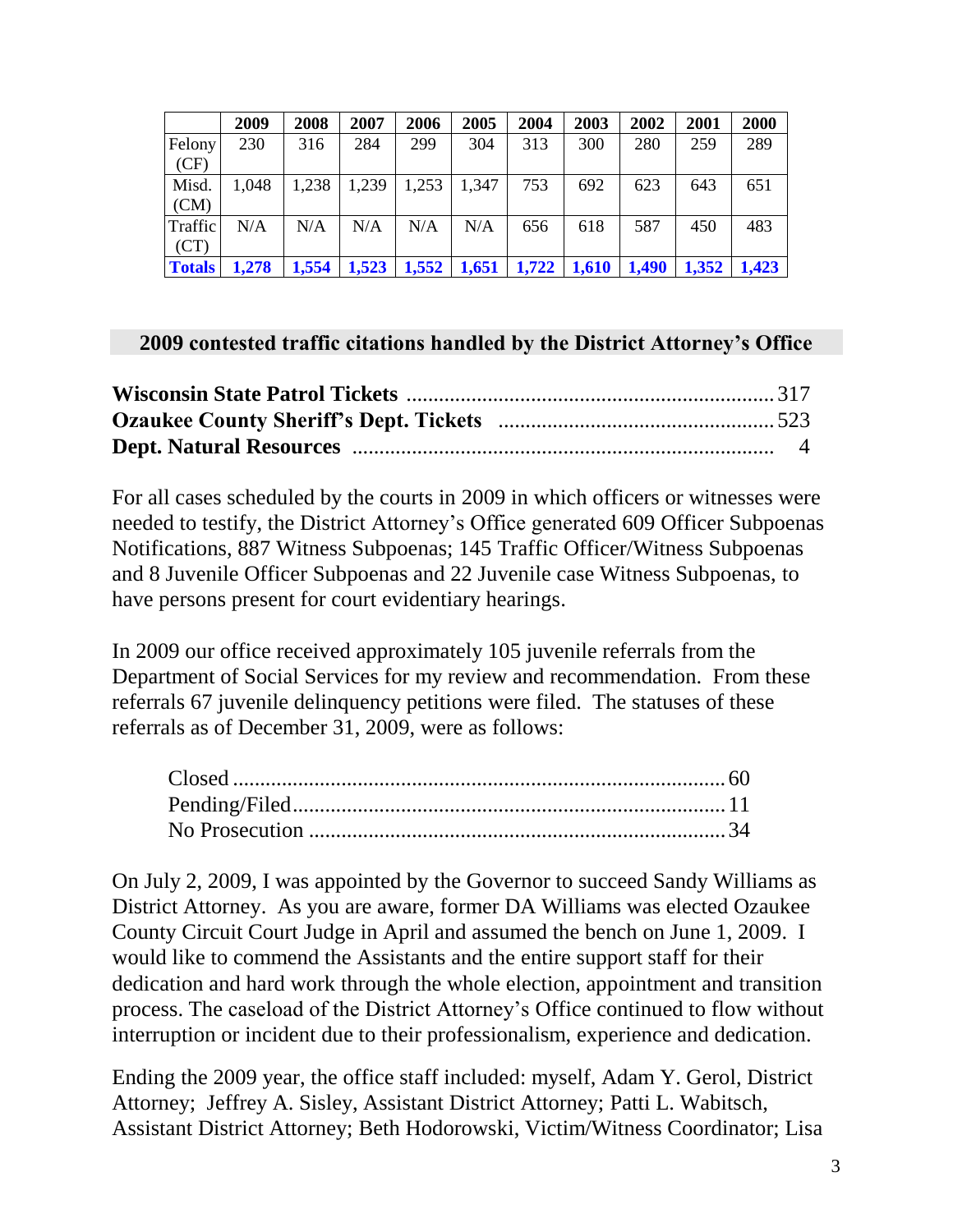|               | 2009  | 2008  | 2007  | 2006  | 2005  | 2004  | 2003  | 2002  | 2001  | 2000  |
|---------------|-------|-------|-------|-------|-------|-------|-------|-------|-------|-------|
| Felony        | 230   | 316   | 284   | 299   | 304   | 313   | 300   | 280   | 259   | 289   |
| (CF)          |       |       |       |       |       |       |       |       |       |       |
| Misd.         | 1,048 | 1,238 | 1,239 | 1,253 | 1,347 | 753   | 692   | 623   | 643   | 651   |
| (CM)          |       |       |       |       |       |       |       |       |       |       |
| Traffic       | N/A   | N/A   | N/A   | N/A   | N/A   | 656   | 618   | 587   | 450   | 483   |
| (CT)          |       |       |       |       |       |       |       |       |       |       |
| <b>Totals</b> | 1,278 | 1,554 | 1,523 | 1,552 | 1,651 | 1,722 | 1,610 | 1,490 | 1,352 | 1,423 |

## **2009 contested traffic citations handled by the District Attorney's Office**

For all cases scheduled by the courts in 2009 in which officers or witnesses were needed to testify, the District Attorney's Office generated 609 Officer Subpoenas Notifications, 887 Witness Subpoenas; 145 Traffic Officer/Witness Subpoenas and 8 Juvenile Officer Subpoenas and 22 Juvenile case Witness Subpoenas, to have persons present for court evidentiary hearings.

In 2009 our office received approximately 105 juvenile referrals from the Department of Social Services for my review and recommendation. From these referrals 67 juvenile delinquency petitions were filed. The statuses of these referrals as of December 31, 2009, were as follows:

On July 2, 2009, I was appointed by the Governor to succeed Sandy Williams as District Attorney. As you are aware, former DA Williams was elected Ozaukee County Circuit Court Judge in April and assumed the bench on June 1, 2009. I would like to commend the Assistants and the entire support staff for their dedication and hard work through the whole election, appointment and transition process. The caseload of the District Attorney's Office continued to flow without interruption or incident due to their professionalism, experience and dedication.

Ending the 2009 year, the office staff included: myself, Adam Y. Gerol, District Attorney; Jeffrey A. Sisley, Assistant District Attorney; Patti L. Wabitsch, Assistant District Attorney; Beth Hodorowski, Victim/Witness Coordinator; Lisa